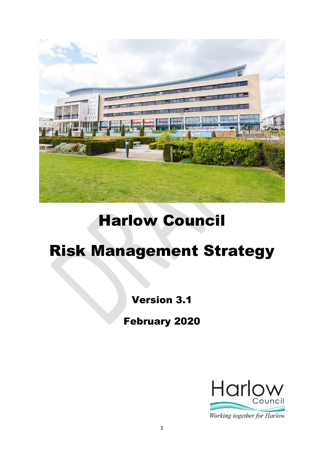

# Harlow Council

# Risk Management Strategy

## Version 3.1

February 2020

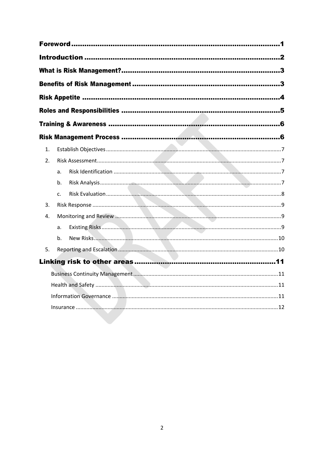| 1. |             |  |
|----|-------------|--|
| 2. |             |  |
|    | a.          |  |
|    | b.          |  |
|    | $C_{\cdot}$ |  |
| 3. |             |  |
| 4. |             |  |
|    | a.          |  |
|    | b.          |  |
| 5. |             |  |
|    |             |  |
|    |             |  |
|    |             |  |
|    |             |  |
|    |             |  |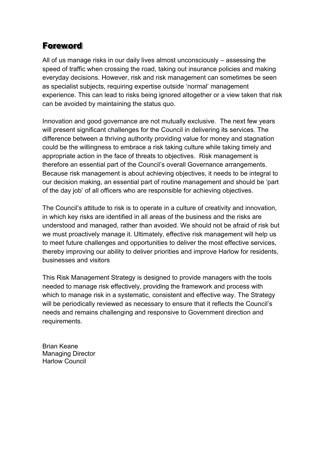## <span id="page-2-0"></span>Foreword

All of us manage risks in our daily lives almost unconsciously – assessing the speed of traffic when crossing the road, taking out insurance policies and making everyday decisions. However, risk and risk management can sometimes be seen as specialist subjects, requiring expertise outside 'normal' management experience. This can lead to risks being ignored altogether or a view taken that risk can be avoided by maintaining the status quo.

Innovation and good governance are not mutually exclusive. The next few years will present significant challenges for the Council in delivering its services. The difference between a thriving authority providing value for money and stagnation could be the willingness to embrace a risk taking culture while taking timely and appropriate action in the face of threats to objectives. Risk management is therefore an essential part of the Council's overall Governance arrangements. Because risk management is about achieving objectives, it needs to be integral to our decision making, an essential part of routine management and should be 'part of the day job' of all officers who are responsible for achieving objectives.

The Council's attitude to risk is to operate in a culture of creativity and innovation, in which key risks are identified in all areas of the business and the risks are understood and managed, rather than avoided. We should not be afraid of risk but we must proactively manage it. Ultimately, effective risk management will help us to meet future challenges and opportunities to deliver the most effective services, thereby improving our ability to deliver priorities and improve Harlow for residents, businesses and visitors

This Risk Management Strategy is designed to provide managers with the tools needed to manage risk effectively, providing the framework and process with which to manage risk in a systematic, consistent and effective way. The Strategy will be periodically reviewed as necessary to ensure that it reflects the Council's needs and remains challenging and responsive to Government direction and requirements.

Brian Keane Managing Director Harlow Council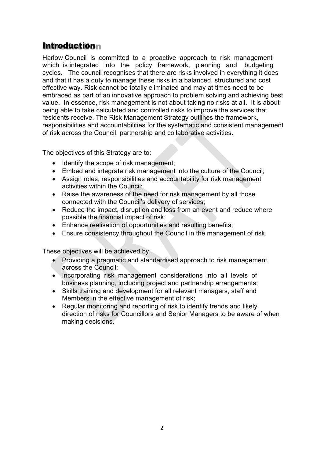## <span id="page-3-0"></span>**Introductionn**

Harlow Council is committed to a proactive approach to risk management which is integrated into the policy framework, planning and budgeting cycles. The council recognises that there are risks involved in everything it does and that it has a duty to manage these risks in a balanced, structured and cost effective way. Risk cannot be totally eliminated and may at times need to be embraced as part of an innovative approach to problem solving and achieving best value. In essence, risk management is not about taking no risks at all. It is about being able to take calculated and controlled risks to improve the services that residents receive. The Risk Management Strategy outlines the framework, responsibilities and accountabilities for the systematic and consistent management of risk across the Council, partnership and collaborative activities.

The objectives of this Strategy are to:

- Identify the scope of risk management;
- Embed and integrate risk management into the culture of the Council;
- Assign roles, responsibilities and accountability for risk management activities within the Council;
- Raise the awareness of the need for risk management by all those connected with the Council's delivery of services;
- Reduce the impact, disruption and loss from an event and reduce where possible the financial impact of risk;
- Enhance realisation of opportunities and resulting benefits;
- Ensure consistency throughout the Council in the management of risk.

These objectives will be achieved by:

- Providing a pragmatic and standardised approach to risk management across the Council;
- Incorporating risk management considerations into all levels of business planning, including project and partnership arrangements;
- Skills training and development for all relevant managers, staff and Members in the effective management of risk;
- Regular monitoring and reporting of risk to identify trends and likely direction of risks for Councillors and Senior Managers to be aware of when making decisions.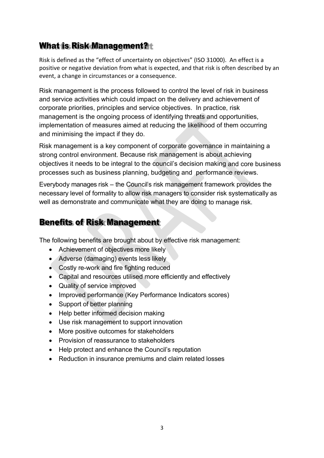## <span id="page-4-0"></span>What is Risk Management? t

Risk is defined as the "effect of uncertainty on objectives" (ISO 31000). An effect is a positive or negative deviation from what is expected, and that risk is often described by an event, a change in circumstances or a consequence.

Risk management is the process followed to control the level of risk in business and service activities which could impact on the delivery and achievement of corporate priorities, principles and service objectives. In practice, risk management is the ongoing process of identifying threats and opportunities, implementation of measures aimed at reducing the likelihood of them occurring and minimising the impact if they do.

Risk management is a key component of corporate governance in maintaining a strong control environment. Because risk management is about achieving objectives it needs to be integral to the council's decision making and core business processes such as business planning, budgeting and performance reviews.

Everybody manages risk – the Council's risk management framework provides the necessary level of formality to allow risk managers to consider risk systematically as well as demonstrate and communicate what they are doing to manage risk.

## <span id="page-4-1"></span>Benefits of Risk Management

The following benefits are brought about by effective risk management:

- Achievement of objectives more likely
- Adverse (damaging) events less likely
- Costly re-work and fire fighting reduced
- Capital and resources utilised more efficiently and effectively
- Quality of service improved
- Improved performance (Key Performance Indicators scores)
- Support of better planning
- Help better informed decision making
- Use risk management to support innovation
- More positive outcomes for stakeholders
- Provision of reassurance to stakeholders
- Help protect and enhance the Council's reputation
- Reduction in insurance premiums and claim related losses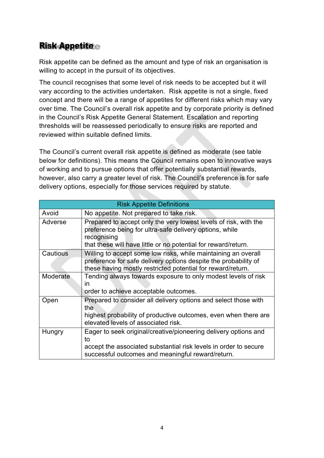## <span id="page-5-0"></span>Risk Appetite

Risk appetite can be defined as the amount and type of risk an organisation is willing to accept in the pursuit of its objectives.

The council recognises that some level of risk needs to be accepted but it will vary according to the activities undertaken. Risk appetite is not a single, fixed concept and there will be a range of appetites for different risks which may vary over time. The Council's overall risk appetite and by corporate priority is defined in the Council's Risk Appetite General Statement. Escalation and reporting thresholds will be reassessed periodically to ensure risks are reported and reviewed within suitable defined limits.

The Council's current overall risk appetite is defined as moderate (see table below for definitions). This means the Council remains open to innovative ways of working and to pursue options that offer potentially substantial rewards, however, also carry a greater level of risk. The Council's preference is for safe delivery options, especially for those services required by statute.

<span id="page-5-1"></span>

|          | <b>Risk Appetite Definitions</b>                                                                                                                                                                             |
|----------|--------------------------------------------------------------------------------------------------------------------------------------------------------------------------------------------------------------|
| Avoid    | No appetite. Not prepared to take risk.                                                                                                                                                                      |
| Adverse  | Prepared to accept only the very lowest levels of risk, with the<br>preference being for ultra-safe delivery options, while<br>recognising<br>that these will have little or no potential for reward/return. |
| Cautious | Willing to accept some low risks, while maintaining an overall<br>preference for safe delivery options despite the probability of<br>these having mostly restricted potential for reward/return.             |
| Moderate | Tending always towards exposure to only modest levels of risk<br>$\overline{\mathsf{I}}$<br>order to achieve acceptable outcomes.                                                                            |
| Open     | Prepared to consider all delivery options and select those with<br>the<br>highest probability of productive outcomes, even when there are<br>elevated levels of associated risk.                             |
| Hungry   | Eager to seek original/creative/pioneering delivery options and<br>to<br>accept the associated substantial risk levels in order to secure<br>successful outcomes and meaningful reward/return.               |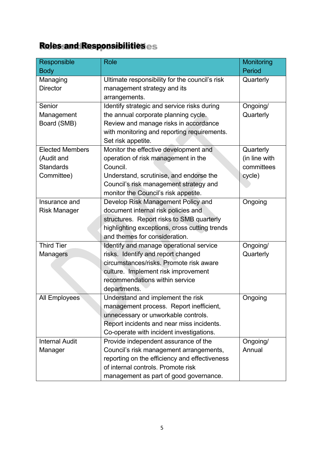## Roles and Responsibilities

| Responsible            | <b>Role</b>                                    | Monitoring    |
|------------------------|------------------------------------------------|---------------|
| <b>Body</b>            |                                                | Period        |
| Managing               | Ultimate responsibility for the council's risk | Quarterly     |
| <b>Director</b>        | management strategy and its                    |               |
|                        | arrangements.                                  |               |
| Senior                 | Identify strategic and service risks during    | Ongoing/      |
| Management             | the annual corporate planning cycle.           | Quarterly     |
| Board (SMB)            | Review and manage risks in accordance          |               |
|                        | with monitoring and reporting requirements.    |               |
|                        | Set risk appetite.                             |               |
| <b>Elected Members</b> | Monitor the effective development and          | Quarterly     |
| (Audit and             | operation of risk management in the            | (in line with |
| <b>Standards</b>       | Council.                                       | committees    |
| Committee)             | Understand, scrutinise, and endorse the        | cycle)        |
|                        | Council's risk management strategy and         |               |
|                        | monitor the Council's risk appetite.           |               |
| Insurance and          | Develop Risk Management Policy and             | Ongoing       |
| <b>Risk Manager</b>    | document internal risk policies and            |               |
|                        | structures. Report risks to SMB quarterly      |               |
|                        | highlighting exceptions, cross cutting trends  |               |
|                        | and themes for consideration.                  |               |
| <b>Third Tier</b>      | Identify and manage operational service        | Ongoing/      |
| <b>Managers</b>        | risks. Identify and report changed             | Quarterly     |
|                        | circumstances/risks. Promote risk aware        |               |
|                        | culture. Implement risk improvement            |               |
|                        | recommendations within service                 |               |
|                        | departments.                                   |               |
| <b>All Employees</b>   | Understand and implement the risk              | Ongoing       |
|                        | management process. Report inefficient,        |               |
|                        | unnecessary or unworkable controls.            |               |
|                        | Report incidents and near miss incidents.      |               |
|                        | Co-operate with incident investigations.       |               |
| <b>Internal Audit</b>  | Provide independent assurance of the           | Ongoing/      |
| Manager                | Council's risk management arrangements,        | Annual        |
|                        | reporting on the efficiency and effectiveness  |               |
|                        | of internal controls. Promote risk             |               |
|                        | management as part of good governance.         |               |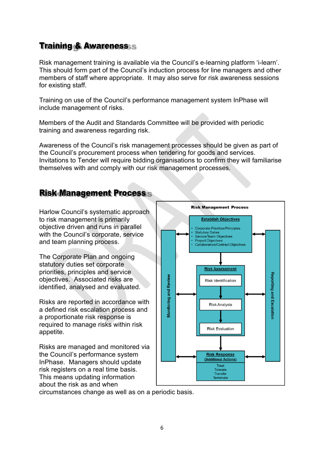## <span id="page-7-0"></span>Training & Awareness

Risk management training is available via the Council's e-learning platform 'i-learn'. This should form part of the Council's induction process for line managers and other members of staff where appropriate. It may also serve for risk awareness sessions for existing staff.

Training on use of the Council's performance management system InPhase will include management of risks.

Members of the Audit and Standards Committee will be provided with periodic training and awareness regarding risk.

Awareness of the Council's risk management processes should be given as part of the Council's procurement process when tendering for goods and services. Invitations to Tender will require bidding organisations to confirm they will familiarise themselves with and comply with our risk management processes.

## <span id="page-7-1"></span>Risk Management Process

Harlow Council's systematic approach to risk management is primarily objective driven and runs in parallel with the Council's corporate, service and team planning process.

The Corporate Plan and ongoing statutory duties set corporate priorities, principles and service objectives. Associated risks are identified, analysed and evaluated.

Risks are reported in accordance with a defined risk escalation process and a proportionate risk response is required to manage risks within risk appetite.

Risks are managed and monitored via the Council's performance system InPhase. Managers should update risk registers on a real time basis. This means updating information about the risk as and when



circumstances change as well as on a periodic basis.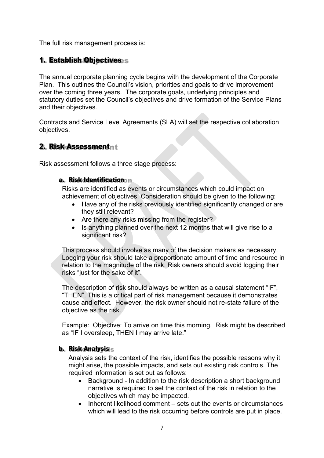The full risk management process is:

#### <span id="page-8-0"></span>1. Establish Objectives

The annual corporate planning cycle begins with the development of the Corporate Plan. This outlines the Council's vision, priorities and goals to drive improvement over the coming three years. The corporate goals, underlying principles and statutory duties set the Council's objectives and drive formation of the Service Plans and their objectives.

Contracts and Service Level Agreements (SLA) will set the respective collaboration objectives.

#### <span id="page-8-1"></span>2. Risk Assessment

Risk assessment follows a three stage process:

#### <span id="page-8-2"></span>a. Risk Identification

Risks are identified as events or circumstances which could impact on achievement of objectives. Consideration should be given to the following:

- Have any of the risks previously identified significantly changed or are they still relevant?
- Are there any risks missing from the register?
- Is anything planned over the next 12 months that will give rise to a significant risk?

This process should involve as many of the decision makers as necessary. Logging your risk should take a proportionate amount of time and resource in relation to the magnitude of the risk. Risk owners should avoid logging their risks "just for the sake of it".

The description of risk should always be written as a causal statement "IF", "THEN". This is a critical part of risk management because it demonstrates cause and effect. However, the risk owner should not re-state failure of the objective as the risk.

Example: Objective: To arrive on time this morning. Risk might be described as "IF I oversleep, THEN I may arrive late."

#### <span id="page-8-3"></span>b. Risk Analysis

Analysis sets the context of the risk, identifies the possible reasons why it might arise, the possible impacts, and sets out existing risk controls. The required information is set out as follows:

- Background In addition to the risk description a short background narrative is required to set the context of the risk in relation to the objectives which may be impacted.
- $\bullet$  Inherent likelihood comment sets out the events or circumstances which will lead to the risk occurring before controls are put in place.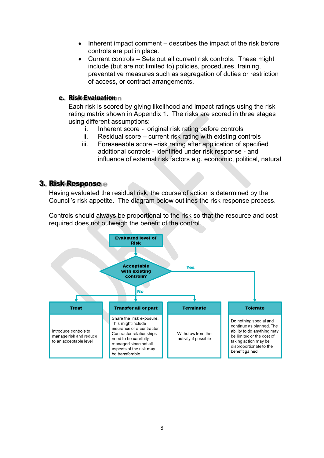- $\bullet$  Inherent impact comment describes the impact of the risk before controls are put in place.
- Current controls Sets out all current risk controls. These might include (but are not limited to) policies, procedures, training, preventative measures such as segregation of duties or restriction of access, or contract arrangements.

#### <span id="page-9-0"></span>c. Risk Evaluation n

Each risk is scored by giving likelihood and impact ratings using the risk rating matrix shown in Appendix 1. The risks are scored in three stages using different assumptions:

- i. Inherent score original risk rating before controls
- ii. Residual score current risk rating with existing controls
- iii. Foreseeable score –risk rating after application of specified additional controls - identified under risk response - and influence of external risk factors e.g. economic, political, natural

#### <span id="page-9-1"></span>3. Risk Response

Having evaluated the residual risk, the course of action is determined by the Council's risk appetite. The diagram below outlines the risk response process.

Controls should always be proportional to the risk so that the resource and cost required does not outweigh the benefit of the control.

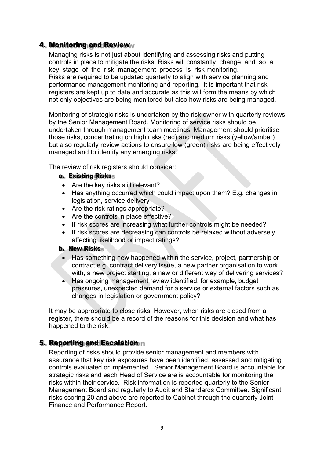#### <span id="page-10-0"></span>4. Monitoring and Review

Managing risks is not just about identifying and assessing risks and putting controls in place to mitigate the risks. Risks will constantly change and so a key stage of the risk management process is risk monitoring. Risks are required to be updated quarterly to align with service planning and performance management monitoring and reporting. It is important that risk registers are kept up to date and accurate as this will form the means by which not only objectives are being monitored but also how risks are being managed.

Monitoring of strategic risks is undertaken by the risk owner with quarterly reviews by the Senior Management Board. Monitoring of service risks should be undertaken through management team meetings. Management should prioritise those risks, concentrating on high risks (red) and medium risks (yellow/amber) but also regularly review actions to ensure low (green) risks are being effectively managed and to identify any emerging risks.

The review of risk registers should consider:

#### <span id="page-10-1"></span>a. Existing Risks

- Are the key risks still relevant?
- Has anything occurred which could impact upon them? E.g. changes in legislation, service delivery
- Are the risk ratings appropriate?
- Are the controls in place effective?
- If risk scores are increasing what further controls might be needed?
- If risk scores are decreasing can controls be relaxed without adversely affecting likelihood or impact ratings?

#### <span id="page-10-2"></span>b. New Risks

- Has something new happened within the service, project, partnership or contract e.g. contract delivery issue, a new partner organisation to work with, a new project starting, a new or different way of delivering services?
- Has ongoing management review identified, for example, budget pressures, unexpected demand for a service or external factors such as changes in legislation or government policy?

It may be appropriate to close risks. However, when risks are closed from a register, there should be a record of the reasons for this decision and what has happened to the risk.

#### <span id="page-10-3"></span>5. Reporting and Escalation n

Reporting of risks should provide senior management and members with assurance that key risk exposures have been identified, assessed and mitigating controls evaluated or implemented. Senior Management Board is accountable for strategic risks and each Head of Service are is accountable for monitoring the risks within their service. Risk information is reported quarterly to the Senior Management Board and regularly to Audit and Standards Committee. Significant risks scoring 20 and above are reported to Cabinet through the quarterly Joint Finance and Performance Report.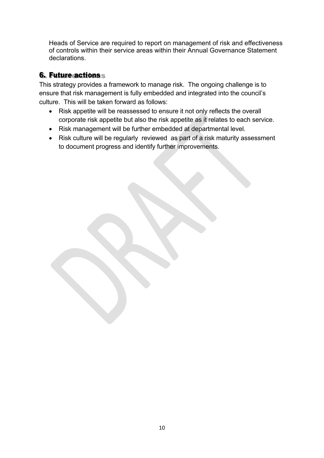Heads of Service are required to report on management of risk and effectiveness of controls within their service areas within their Annual Governance Statement declarations.

### 6. Future *actionss*

This strategy provides a framework to manage risk. The ongoing challenge is to ensure that risk management is fully embedded and integrated into the council's culture. This will be taken forward as follows:

- Risk appetite will be reassessed to ensure it not only reflects the overall corporate risk appetite but also the risk appetite as it relates to each service.
- Risk management will be further embedded at departmental level.
- Risk culture will be regularly reviewed as part of a risk maturity assessment to document progress and identify further improvements.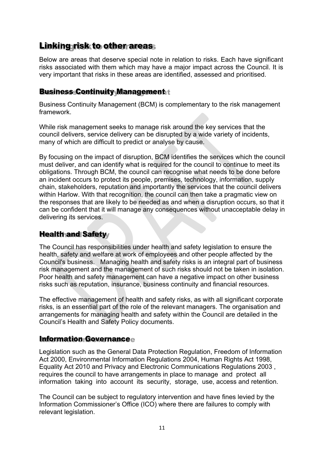## <span id="page-12-0"></span>Linking risk to other areas

Below are areas that deserve special note in relation to risks. Each have significant risks associated with them which may have a major impact across the Council. It is very important that risks in these areas are identified, assessed and prioritised.

#### <span id="page-12-1"></span>Business Continuity Management

Business Continuity Management (BCM) is complementary to the risk management framework.

While risk management seeks to manage risk around the key services that the council delivers, service delivery can be disrupted by a wide variety of incidents, many of which are difficult to predict or analyse by cause.

By focusing on the impact of disruption, BCM identifies the services which the council must deliver, and can identify what is required for the council to continue to meet its obligations. Through BCM, the council can recognise what needs to be done before an incident occurs to protect its people, premises, technology, information, supply chain, stakeholders, reputation and importantly the services that the council delivers within Harlow. With that recognition, the council can then take a pragmatic view on the responses that are likely to be needed as and when a disruption occurs, so that it can be confident that it will manage any consequences without unacceptable delay in delivering its services.

#### <span id="page-12-2"></span>Health and Safety

The Council has responsibilities under health and safety legislation to ensure the health, safety and welfare at work of employees and other people affected by the Council's business. Managing health and safety risks is an integral part of business risk management and the management of such risks should not be taken in isolation. Poor health and safety management can have a negative impact on other business risks such as reputation, insurance, business continuity and financial resources.

The effective management of health and safety risks, as with all significant corporate risks, is an essential part of the role of the relevant managers. The organisation and arrangements for managing health and safety within the Council are detailed in the Council's Health and Safety Policy documents.

#### <span id="page-12-3"></span>Information Governance

Legislation such as the General Data Protection Regulation, Freedom of Information Act 2000, Environmental Information Regulations 2004, Human Rights Act 1998, Equality Act 2010 and Privacy and Electronic Communications Regulations 2003 , requires the council to have arrangements in place to manage and protect all information taking into account its security, storage, use, access and retention.

The Council can be subject to regulatory intervention and have fines levied by the Information Commissioner's Office (ICO) where there are failures to comply with relevant legislation.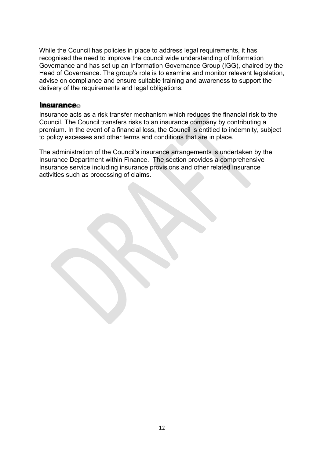While the Council has policies in place to address legal requirements, it has recognised the need to improve the council wide understanding of Information Governance and has set up an Information Governance Group (IGG), chaired by the Head of Governance. The group's role is to examine and monitor relevant legislation, advise on compliance and ensure suitable training and awareness to support the delivery of the requirements and legal obligations.

#### <span id="page-13-0"></span>**Insurance**

Insurance acts as a risk transfer mechanism which reduces the financial risk to the Council. The Council transfers risks to an insurance company by contributing a premium. In the event of a financial loss, the Council is entitled to indemnity, subject to policy excesses and other terms and conditions that are in place.

The administration of the Council's insurance arrangements is undertaken by the Insurance Department within Finance. The section provides a comprehensive Insurance service including insurance provisions and other related insurance activities such as processing of claims.